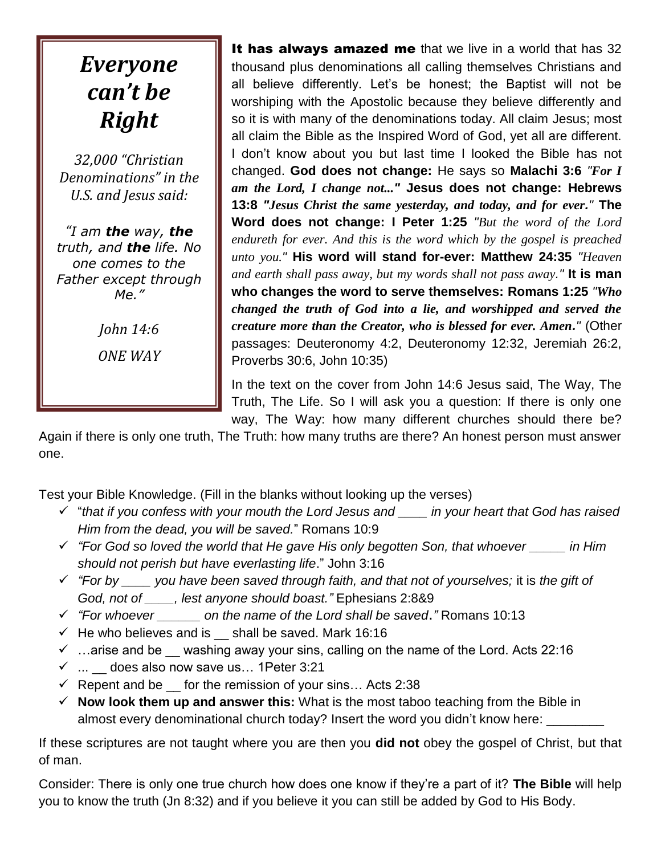## *Everyone can't be Right*

*32,000 "Christian Denominations" in the U.S. and Jesus said:* 

*"I am the way, the truth, and the life. No one comes to the Father except through Me."*

> *John 14:6 ONE WAY*

It has always amazed me that we live in a world that has 32 thousand plus denominations all calling themselves Christians and all believe differently. Let's be honest; the Baptist will not be worshiping with the Apostolic because they believe differently and so it is with many of the denominations today. All claim Jesus; most all claim the Bible as the Inspired Word of God, yet all are different. I don't know about you but last time I looked the Bible has not changed. **God does not change:** He says so **Malachi 3:6** *"For I am the Lord, I change not..."* **Jesus does not change: Hebrews 13:8** *"Jesus Christ the same yesterday, and today, and for ever."* **The Word does not change: I Peter 1:25** *"But the word of the Lord endureth for ever. And this is the word which by the gospel is preached unto you."* **His word will stand for-ever: Matthew 24:35** *"Heaven and earth shall pass away, but my words shall not pass away."* **It is man who changes the word to serve themselves: Romans 1:25** *"Who changed the truth of God into a lie, and worshipped and served the creature more than the Creator, who is blessed for ever. Amen."* (Other passages: Deuteronomy 4:2, Deuteronomy 12:32, Jeremiah 26:2, Proverbs 30:6, John 10:35)

In the text on the cover from John 14:6 Jesus said, The Way, The Truth, The Life. So I will ask you a question: If there is only one way, The Way: how many different churches should there be?

Again if there is only one truth, The Truth: how many truths are there? An honest person must answer one.

Test your Bible Knowledge. (Fill in the blanks without looking up the verses)

- "*that if you confess with your mouth the Lord Jesus and \_\_\_\_ in your heart that God has raised Him from the dead, you will be saved.*" Romans 10:9
- *"For God so loved the world that He gave His only begotten Son, that whoever \_\_\_\_\_ in Him should not perish but have everlasting life*." John 3:16
- *"For by \_\_\_\_ you have been saved through faith, and that not of yourselves;* it is *the gift of God, not of \_\_\_\_, lest anyone should boast."* Ephesians 2:8&9
- *"For whoever \_\_\_\_\_\_ on the name of the Lord shall be saved*.*"* Romans 10:13
- $\checkmark$  He who believes and is shall be saved. Mark 16:16
- $\checkmark$  ... arise and be washing away your sins, calling on the name of the Lord. Acts 22:16
- $\checkmark$  ... 6 does also now save us... 1 Peter 3:21
- $\checkmark$  Repent and be for the remission of your sins... Acts 2:38
- $\checkmark$  **Now look them up and answer this:** What is the most taboo teaching from the Bible in almost every denominational church today? Insert the word you didn't know here:

If these scriptures are not taught where you are then you **did not** obey the gospel of Christ, but that of man.

Consider: There is only one true church how does one know if they're a part of it? **The Bible** will help you to know the truth (Jn 8:32) and if you believe it you can still be added by God to His Body.